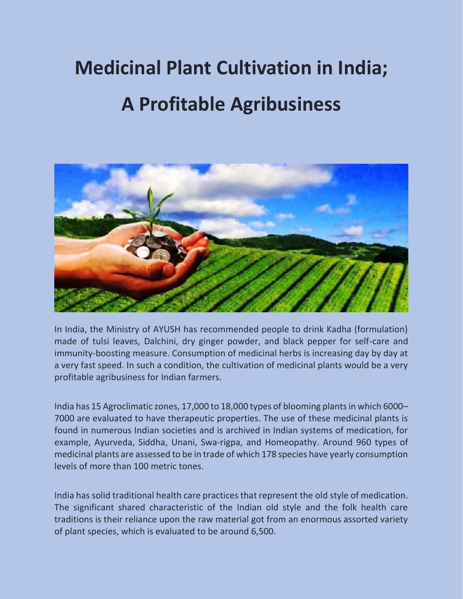# **Medicinal Plant Cultivation in India; A Profitable Agribusiness**



In India, the Ministry of AYUSH has recommended people to drink Kadha (formulation) made of tulsi leaves, Dalchini, dry ginger powder, and black pepper for self-care and immunity-boosting measure. Consumption of medicinal herbs is increasing day by day at a very fast speed. In such a condition, the cultivation of medicinal plants would be a very profitable agribusiness for Indian farmers.

India has 15 Agroclimatic zones, 17,000 to 18,000 types of blooming plants in which 6000– 7000 are evaluated to have therapeutic properties. The use of these medicinal plants is found in numerous Indian societies and is archived in Indian systems of medication, for example, Ayurveda, Siddha, Unani, Swa-rigpa, and Homeopathy. Around 960 types of medicinal plants are assessed to be in trade of which 178 species have yearly consumption levels of more than 100 metric tones.

India has solid traditional health care practices that represent the old style of medication. The significant shared characteristic of the Indian old style and the folk health care traditions is their reliance upon the raw material got from an enormous assorted variety of plant species, which is evaluated to be around 6,500.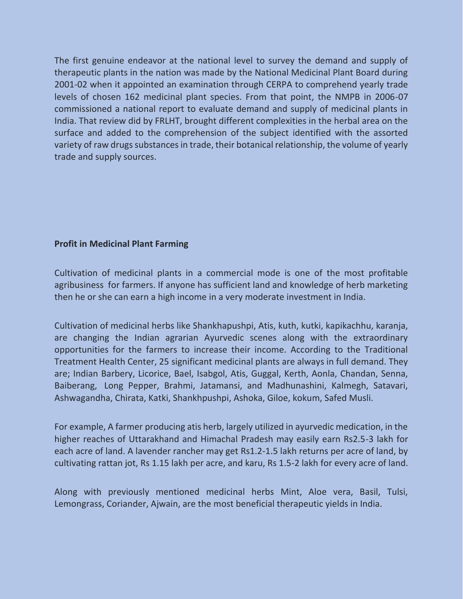The first genuine endeavor at the national level to survey the demand and supply of therapeutic plants in the nation was made by the National Medicinal Plant Board during 2001-02 when it appointed an examination through CERPA to comprehend yearly trade levels of chosen 162 medicinal plant species. From that point, the NMPB in 2006-07 commissioned a national report to evaluate demand and supply of medicinal plants in India. That review did by FRLHT, brought different complexities in the herbal area on the surface and added to the comprehension of the subject identified with the assorted variety of raw drugs substances in trade, their botanical relationship, the volume of yearly trade and supply sources.

#### **Profit in Medicinal Plant Farming**

Cultivation of medicinal plants in a commercial mode is one of the most profitable agribusiness for farmers. If anyone has sufficient land and knowledge of herb marketing then he or she can earn a high income in a very moderate investment in India.

Cultivation of medicinal herbs like Shankhapushpi, Atis, kuth, kutki, kapikachhu, karanja, are changing the Indian agrarian Ayurvedic scenes along with the extraordinary opportunities for the farmers to increase their income. According to the Traditional Treatment Health Center, 25 significant medicinal plants are always in full demand. They are; Indian Barbery, Licorice, Bael, Isabgol, Atis, Guggal, Kerth, Aonla, Chandan, Senna, Baiberang, Long Pepper, Brahmi, Jatamansi, and Madhunashini, Kalmegh, Satavari, Ashwagandha, Chirata, Katki, Shankhpushpi, Ashoka, Giloe, kokum, Safed Musli.

For example, A farmer producing atis herb, largely utilized in ayurvedic medication, in the higher reaches of Uttarakhand and Himachal Pradesh may easily earn Rs2.5-3 lakh for each acre of land. A lavender rancher may get Rs1.2-1.5 lakh returns per acre of land, by cultivating rattan jot, Rs 1.15 lakh per acre, and karu, Rs 1.5-2 lakh for every acre of land.

Along with previously mentioned medicinal herbs Mint, Aloe vera, Basil, Tulsi, Lemongrass, Coriander, Ajwain, are the most beneficial therapeutic yields in India.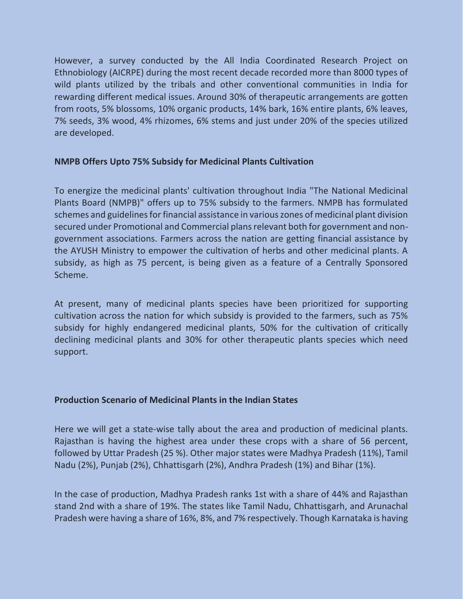However, a survey conducted by the All India Coordinated Research Project on Ethnobiology (AICRPE) during the most recent decade recorded more than 8000 types of wild plants utilized by the tribals and other conventional communities in India for rewarding different medical issues. Around 30% of therapeutic arrangements are gotten from roots, 5% blossoms, 10% organic products, 14% bark, 16% entire plants, 6% leaves, 7% seeds, 3% wood, 4% rhizomes, 6% stems and just under 20% of the species utilized are developed.

#### **NMPB Offers Upto 75% Subsidy for Medicinal Plants Cultivation**

To energize the medicinal plants' cultivation throughout India "The National Medicinal Plants Board (NMPB)" offers up to 75% subsidy to the farmers. NMPB has formulated schemes and guidelines for financial assistance in various zones of medicinal plant division secured under Promotional and Commercial plans relevant both for government and nongovernment associations. Farmers across the nation are getting financial assistance by the AYUSH Ministry to empower the cultivation of herbs and other medicinal plants. A subsidy, as high as 75 percent, is being given as a feature of a Centrally Sponsored Scheme.

At present, many of medicinal plants species have been prioritized for supporting cultivation across the nation for which subsidy is provided to the farmers, such as 75% subsidy for highly endangered medicinal plants, 50% for the cultivation of critically declining medicinal plants and 30% for other therapeutic plants species which need support.

#### **Production Scenario of Medicinal Plants in the Indian States**

Here we will get a state-wise tally about the area and production of medicinal plants. Rajasthan is having the highest area under these crops with a share of 56 percent, followed by Uttar Pradesh (25 %). Other major states were Madhya Pradesh (11%), Tamil Nadu (2%), Punjab (2%), Chhattisgarh (2%), Andhra Pradesh (1%) and Bihar (1%).

In the case of production, Madhya Pradesh ranks 1st with a share of 44% and Rajasthan stand 2nd with a share of 19%. The states like Tamil Nadu, Chhattisgarh, and Arunachal Pradesh were having a share of 16%, 8%, and 7% respectively. Though Karnataka is having